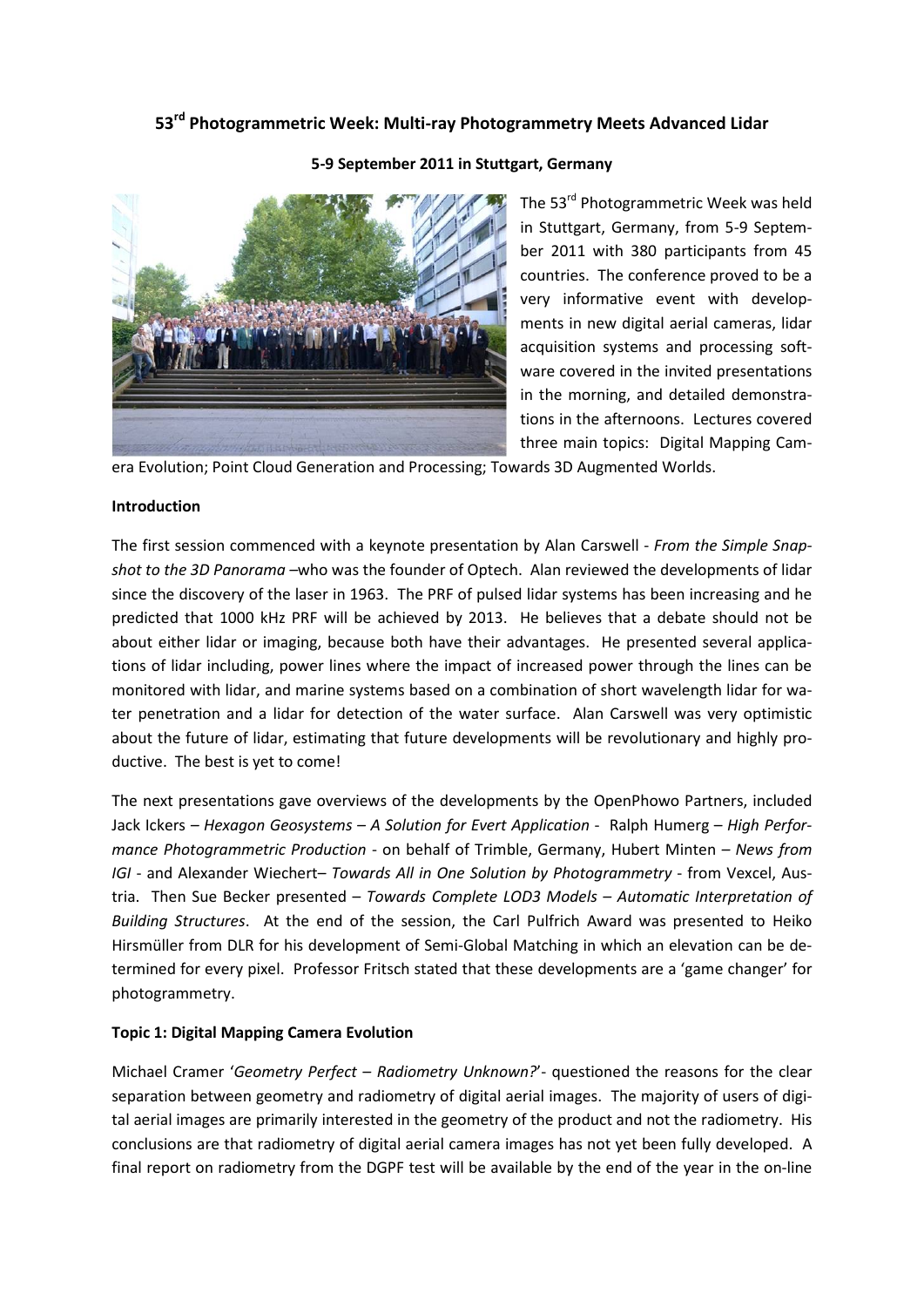# **53rd Photogrammetric Week: Multi-ray Photogrammetry Meets Advanced Lidar**



#### **5-9 September 2011 in Stuttgart, Germany**

The 53<sup>rd</sup> Photogrammetric Week was held in Stuttgart, Germany, from 5-9 September 2011 with 380 participants from 45 countries. The conference proved to be a very informative event with developments in new digital aerial cameras, lidar acquisition systems and processing software covered in the invited presentations in the morning, and detailed demonstrations in the afternoons. Lectures covered three main topics: Digital Mapping Cam-

era Evolution; Point Cloud Generation and Processing; Towards 3D Augmented Worlds.

## **Introduction**

The first session commenced with a keynote presentation by Alan Carswell - *From the Simple Snapshot to the 3D Panorama –*who was the founder of Optech. Alan reviewed the developments of lidar since the discovery of the laser in 1963. The PRF of pulsed lidar systems has been increasing and he predicted that 1000 kHz PRF will be achieved by 2013. He believes that a debate should not be about either lidar or imaging, because both have their advantages. He presented several applications of lidar including, power lines where the impact of increased power through the lines can be monitored with lidar, and marine systems based on a combination of short wavelength lidar for water penetration and a lidar for detection of the water surface. Alan Carswell was very optimistic about the future of lidar, estimating that future developments will be revolutionary and highly productive. The best is yet to come!

The next presentations gave overviews of the developments by the OpenPhowo Partners, included Jack Ickers *– Hexagon Geosystems – A Solution for Evert Application* - Ralph Humerg – *High Performance Photogrammetric Production* - on behalf of Trimble, Germany, Hubert Minten *– News from IGI* - and Alexander Wiechert– *Towards All in One Solution by Photogrammetry* - from Vexcel, Austria. Then Sue Becker presented – *Towards Complete LOD3 Models – Automatic Interpretation of Building Structures*. At the end of the session, the Carl Pulfrich Award was presented to Heiko Hirsmüller from DLR for his development of Semi-Global Matching in which an elevation can be determined for every pixel. Professor Fritsch stated that these developments are a 'game changer' for photogrammetry.

## **Topic 1: Digital Mapping Camera Evolution**

Michael Cramer '*Geometry Perfect – Radiometry Unknown?*'- questioned the reasons for the clear separation between geometry and radiometry of digital aerial images. The majority of users of digital aerial images are primarily interested in the geometry of the product and not the radiometry. His conclusions are that radiometry of digital aerial camera images has not yet been fully developed. A final report on radiometry from the DGPF test will be available by the end of the year in the on-line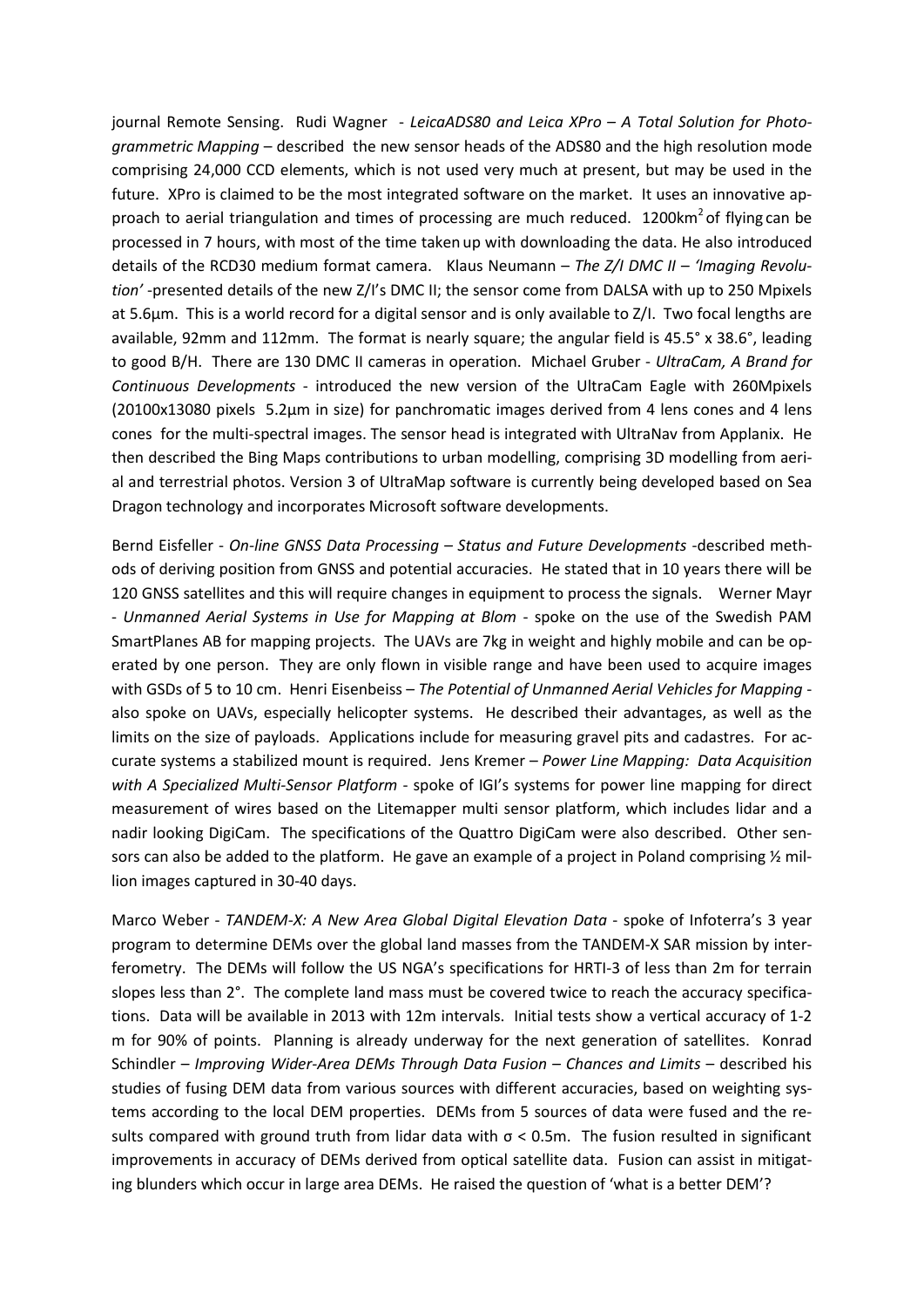journal Remote Sensing. Rudi Wagner - *LeicaADS80 and Leica XPro – A Total Solution for Photogrammetric Mapping* – described the new sensor heads of the ADS80 and the high resolution mode comprising 24,000 CCD elements, which is not used very much at present, but may be used in the future. XPro is claimed to be the most integrated software on the market. It uses an innovative approach to aerial triangulation and times of processing are much reduced.  $1200 \text{km}^2$  of flying can be processed in 7 hours, with most of the time taken up with downloading the data. He also introduced details of the RCD30 medium format camera. Klaus Neumann – *The Z/I DMC II – 'Imaging Revolution'* -presented details of the new Z/I's DMC II; the sensor come from DALSA with up to 250 Mpixels at 5.6µm. This is a world record for a digital sensor and is only available to Z/I. Two focal lengths are available, 92mm and 112mm. The format is nearly square; the angular field is 45.5° x 38.6°, leading to good B/H. There are 130 DMC II cameras in operation. Michael Gruber - *UltraCam, A Brand for Continuous Developments* - introduced the new version of the UltraCam Eagle with 260Mpixels (20100x13080 pixels 5.2µm in size) for panchromatic images derived from 4 lens cones and 4 lens cones for the multi-spectral images. The sensor head is integrated with UltraNav from Applanix. He then described the Bing Maps contributions to urban modelling, comprising 3D modelling from aerial and terrestrial photos. Version 3 of UltraMap software is currently being developed based on Sea Dragon technology and incorporates Microsoft software developments.

Bernd Eisfeller - *On-line GNSS Data Processing – Status and Future Developments* -described methods of deriving position from GNSS and potential accuracies. He stated that in 10 years there will be 120 GNSS satellites and this will require changes in equipment to process the signals. Werner Mayr - *Unmanned Aerial Systems in Use for Mapping at Blom* - spoke on the use of the Swedish PAM SmartPlanes AB for mapping projects. The UAVs are 7kg in weight and highly mobile and can be operated by one person. They are only flown in visible range and have been used to acquire images with GSDs of 5 to 10 cm. Henri Eisenbeiss – *The Potential of Unmanned Aerial Vehicles for Mapping* also spoke on UAVs, especially helicopter systems. He described their advantages, as well as the limits on the size of payloads. Applications include for measuring gravel pits and cadastres. For accurate systems a stabilized mount is required. Jens Kremer – *Power Line Mapping: Data Acquisition with A Specialized Multi-Sensor Platform* - spoke of IGI's systems for power line mapping for direct measurement of wires based on the Litemapper multi sensor platform, which includes lidar and a nadir looking DigiCam. The specifications of the Quattro DigiCam were also described. Other sensors can also be added to the platform. He gave an example of a project in Poland comprising  $\frac{1}{2}$  million images captured in 30-40 days.

Marco Weber - *TANDEM-X: A New Area Global Digital Elevation Data* - spoke of Infoterra's 3 year program to determine DEMs over the global land masses from the TANDEM-X SAR mission by interferometry. The DEMs will follow the US NGA's specifications for HRTI-3 of less than 2m for terrain slopes less than 2°. The complete land mass must be covered twice to reach the accuracy specifications. Data will be available in 2013 with 12m intervals. Initial tests show a vertical accuracy of 1-2 m for 90% of points. Planning is already underway for the next generation of satellites. Konrad Schindler – *Improving Wider-Area DEMs Through Data Fusion – Chances and Limits* – described his studies of fusing DEM data from various sources with different accuracies, based on weighting systems according to the local DEM properties. DEMs from 5 sources of data were fused and the results compared with ground truth from lidar data with σ < 0.5m. The fusion resulted in significant improvements in accuracy of DEMs derived from optical satellite data. Fusion can assist in mitigating blunders which occur in large area DEMs. He raised the question of 'what is a better DEM'?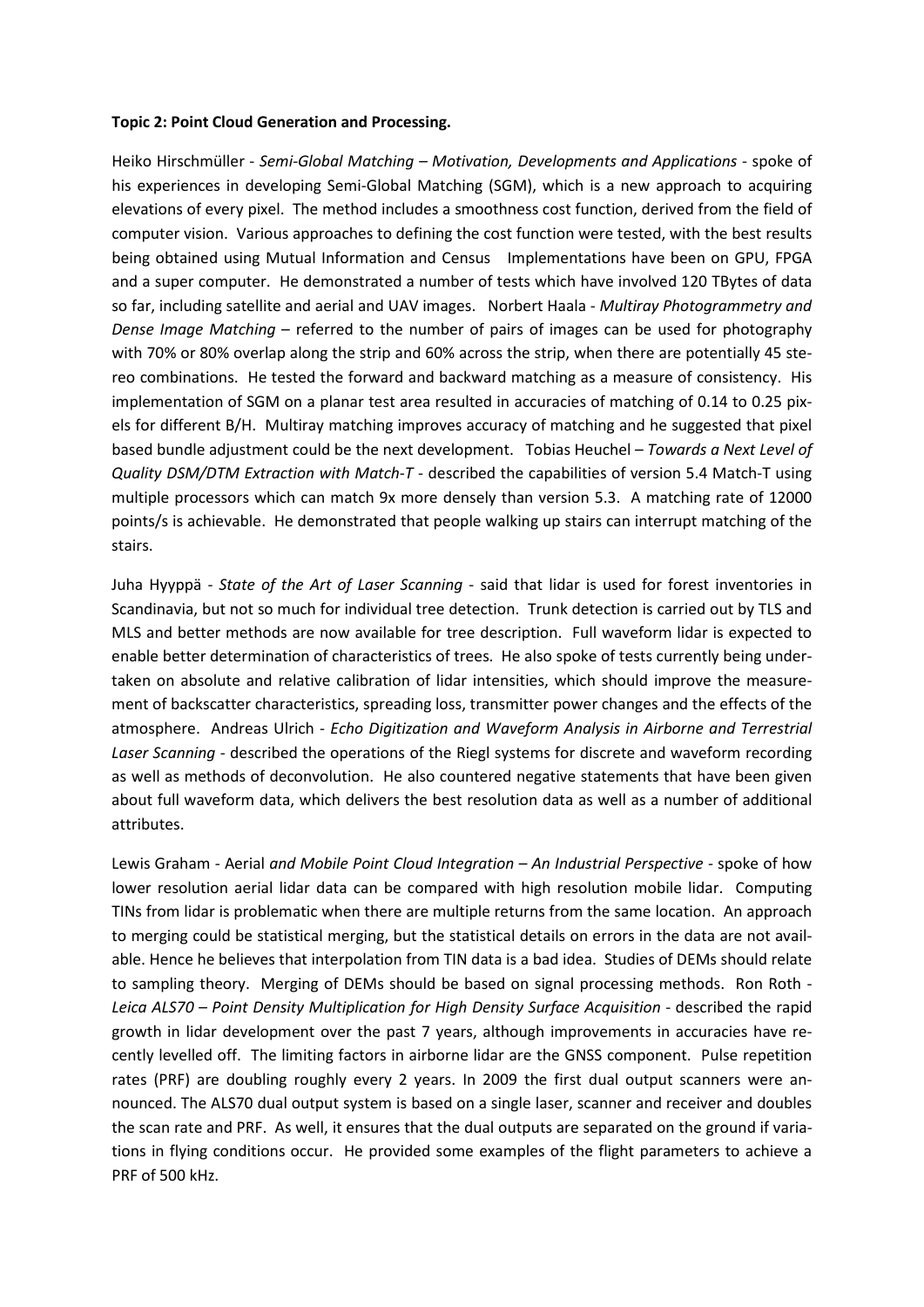#### **Topic 2: Point Cloud Generation and Processing.**

Heiko Hirschmüller - *Semi-Global Matching – Motivation, Developments and Applications* - spoke of his experiences in developing Semi-Global Matching (SGM), which is a new approach to acquiring elevations of every pixel. The method includes a smoothness cost function, derived from the field of computer vision. Various approaches to defining the cost function were tested, with the best results being obtained using Mutual Information and Census Implementations have been on GPU, FPGA and a super computer. He demonstrated a number of tests which have involved 120 TBytes of data so far, including satellite and aerial and UAV images. Norbert Haala - *Multiray Photogrammetry and Dense Image Matching* – referred to the number of pairs of images can be used for photography with 70% or 80% overlap along the strip and 60% across the strip, when there are potentially 45 stereo combinations. He tested the forward and backward matching as a measure of consistency. His implementation of SGM on a planar test area resulted in accuracies of matching of 0.14 to 0.25 pixels for different B/H. Multiray matching improves accuracy of matching and he suggested that pixel based bundle adjustment could be the next development. Tobias Heuchel – *Towards a Next Level of Quality DSM/DTM Extraction with Match-T* - described the capabilities of version 5.4 Match-T using multiple processors which can match 9x more densely than version 5.3. A matching rate of 12000 points/s is achievable. He demonstrated that people walking up stairs can interrupt matching of the stairs.

Juha Hyyppä - *State of the Art of Laser Scanning* - said that lidar is used for forest inventories in Scandinavia, but not so much for individual tree detection. Trunk detection is carried out by TLS and MLS and better methods are now available for tree description. Full waveform lidar is expected to enable better determination of characteristics of trees. He also spoke of tests currently being undertaken on absolute and relative calibration of lidar intensities, which should improve the measurement of backscatter characteristics, spreading loss, transmitter power changes and the effects of the atmosphere. Andreas Ulrich - *Echo Digitization and Waveform Analysis in Airborne and Terrestrial Laser Scanning* - described the operations of the Riegl systems for discrete and waveform recording as well as methods of deconvolution. He also countered negative statements that have been given about full waveform data, which delivers the best resolution data as well as a number of additional attributes.

Lewis Graham - Aerial *and Mobile Point Cloud Integration – An Industrial Perspective* - spoke of how lower resolution aerial lidar data can be compared with high resolution mobile lidar. Computing TINs from lidar is problematic when there are multiple returns from the same location. An approach to merging could be statistical merging, but the statistical details on errors in the data are not available. Hence he believes that interpolation from TIN data is a bad idea. Studies of DEMs should relate to sampling theory. Merging of DEMs should be based on signal processing methods. Ron Roth - *Leica ALS70 – Point Density Multiplication for High Density Surface Acquisition* - described the rapid growth in lidar development over the past 7 years, although improvements in accuracies have recently levelled off. The limiting factors in airborne lidar are the GNSS component. Pulse repetition rates (PRF) are doubling roughly every 2 years. In 2009 the first dual output scanners were announced. The ALS70 dual output system is based on a single laser, scanner and receiver and doubles the scan rate and PRF. As well, it ensures that the dual outputs are separated on the ground if variations in flying conditions occur. He provided some examples of the flight parameters to achieve a PRF of 500 kHz.